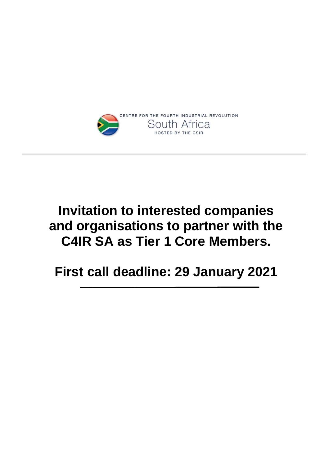

# **Invitation to interested companies and organisations to partner with the C4IR SA as Tier 1 Core Members.**

**First call deadline: 29 January 2021**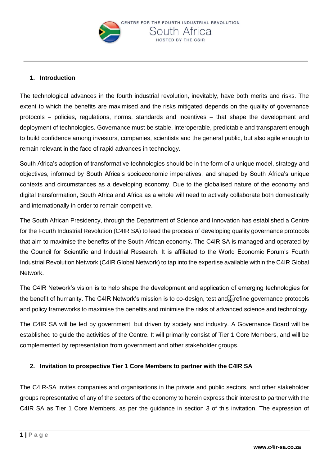

### **1. Introduction**

The technological advances in the fourth industrial revolution, inevitably, have both merits and risks. The extent to which the benefits are maximised and the risks mitigated depends on the quality of governance protocols – policies, regulations, norms, standards and incentives – that shape the development and deployment of technologies. Governance must be stable, interoperable, predictable and transparent enough to build confidence among investors, companies, scientists and the general public, but also agile enough to remain relevant in the face of rapid advances in technology.

South Africa's adoption of transformative technologies should be in the form of a unique model, strategy and objectives, informed by South Africa's socioeconomic imperatives, and shaped by South Africa's unique contexts and circumstances as a developing economy. Due to the globalised nature of the economy and digital transformation, South Africa and Africa as a whole will need to actively collaborate both domestically and internationally in order to remain competitive.

The South African Presidency, through the Department of Science and Innovation has established a Centre for the Fourth Industrial Revolution (C4IR SA) to lead the process of developing quality governance protocols that aim to maximise the benefits of the South African economy. The C4IR SA is managed and operated by the Council for Scientific and Industrial Research. It is affiliated to the World Economic Forum's Fourth Industrial Revolution Network (C4IR Global Network) to tap into the expertise available within the C4IR Global Network.

The C4IR Network's vision is to help shape the development and application of emerging technologies for the benefit of humanity. The C4IR Network's mission is to co-design, test and Figure governance protocols and policy frameworks to maximise the benefits and minimise the risks of advanced science and technology.

The C4IR SA will be led by government, but driven by society and industry. A Governance Board will be established to guide the activities of the Centre. It will primarily consist of Tier 1 Core Members, and will be complemented by representation from government and other stakeholder groups.

### **2. Invitation to prospective Tier 1 Core Members to partner with the C4IR SA**

The C4IR-SA invites companies and organisations in the private and public sectors, and other stakeholder groups representative of any of the sectors of the economy to herein express their interest to partner with the C4IR SA as Tier 1 Core Members, as per the guidance in section 3 of this invitation. The expression of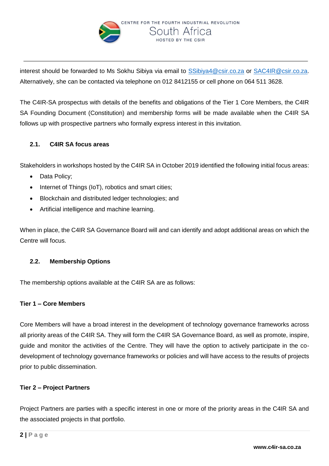

interest should be forwarded to Ms Sokhu Sibiya via email to [SSibiya4@csir.co.za](mailto:SSibiya4@csir.co.za) or [SAC4IR@csir.co.za.](mailto:SAC4IR@csir.co.za) Alternatively, she can be contacted via telephone on 012 8412155 or cell phone on 064 511 3628.

The C4IR-SA prospectus with details of the benefits and obligations of the Tier 1 Core Members, the C4IR SA Founding Document (Constitution) and membership forms will be made available when the C4IR SA follows up with prospective partners who formally express interest in this invitation.

## **2.1. C4IR SA focus areas**

Stakeholders in workshops hosted by the C4IR SA in October 2019 identified the following initial focus areas:

- Data Policy;
- Internet of Things (IoT), robotics and smart cities;
- Blockchain and distributed ledger technologies; and
- Artificial intelligence and machine learning.

When in place, the C4IR SA Governance Board will and can identify and adopt additional areas on which the Centre will focus.

## **2.2. Membership Options**

The membership options available at the C4IR SA are as follows:

### **Tier 1 – Core Members**

Core Members will have a broad interest in the development of technology governance frameworks across all priority areas of the C4IR SA. They will form the C4IR SA Governance Board, as well as promote, inspire, guide and monitor the activities of the Centre. They will have the option to actively participate in the codevelopment of technology governance frameworks or policies and will have access to the results of projects prior to public dissemination.

### **Tier 2 – Project Partners**

Project Partners are parties with a specific interest in one or more of the priority areas in the C4IR SA and the associated projects in that portfolio.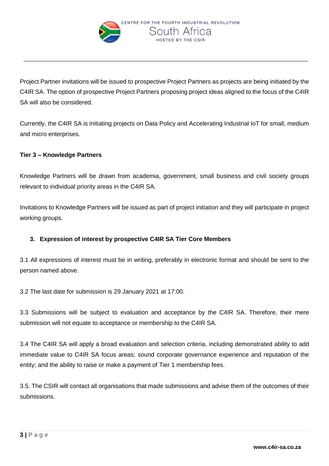

Project Partner invitations will be issued to prospective Project Partners as projects are being initiated by the C4IR SA. The option of prospective Project Partners proposing project ideas aligned to the focus of the C4IR SA will also be considered.

Currently, the C4IR SA is initiating projects on Data Policy and Accelerating Industrial IoT for small, medium and micro enterprises.

## **Tier 3 – Knowledge Partners**

Knowledge Partners will be drawn from academia, government, small business and civil society groups relevant to individual priority areas in the C4IR SA.

Invitations to Knowledge Partners will be issued as part of project initiation and they will participate in project working groups.

## **3. Expression of interest by prospective C4IR SA Tier Core Members**

3.1 All expressions of interest must be in writing, preferably in electronic format and should be sent to the person named above.

3.2 The last date for submission is 29 January 2021 at 17:00.

3.3 Submissions will be subject to evaluation and acceptance by the C4IR SA. Therefore, their mere submission will not equate to acceptance or membership to the C4IR SA.

3.4 The C4IR SA will apply a broad evaluation and selection criteria, including demonstrated ability to add immediate value to C4IR SA focus areas; sound corporate governance experience and reputation of the entity; and the ability to raise or make a payment of Tier 1 membership fees.

3.5. The CSIR will contact all organisations that made submissions and advise them of the outcomes of their submissions.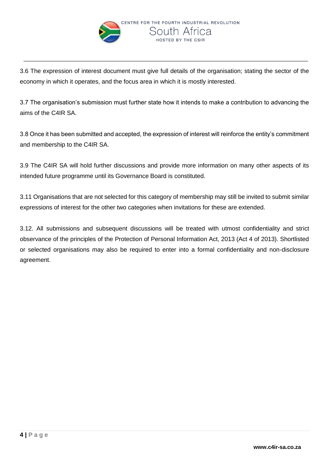

3.6 The expression of interest document must give full details of the organisation; stating the sector of the economy in which it operates, and the focus area in which it is mostly interested.

3.7 The organisation's submission must further state how it intends to make a contribution to advancing the aims of the C4IR SA.

3.8 Once it has been submitted and accepted, the expression of interest will reinforce the entity's commitment and membership to the C4IR SA.

3.9 The C4IR SA will hold further discussions and provide more information on many other aspects of its intended future programme until its Governance Board is constituted.

3.11 Organisations that are not selected for this category of membership may still be invited to submit similar expressions of interest for the other two categories when invitations for these are extended.

3.12. All submissions and subsequent discussions will be treated with utmost confidentiality and strict observance of the principles of the Protection of Personal Information Act, 2013 (Act 4 of 2013). Shortlisted or selected organisations may also be required to enter into a formal confidentiality and non-disclosure agreement.